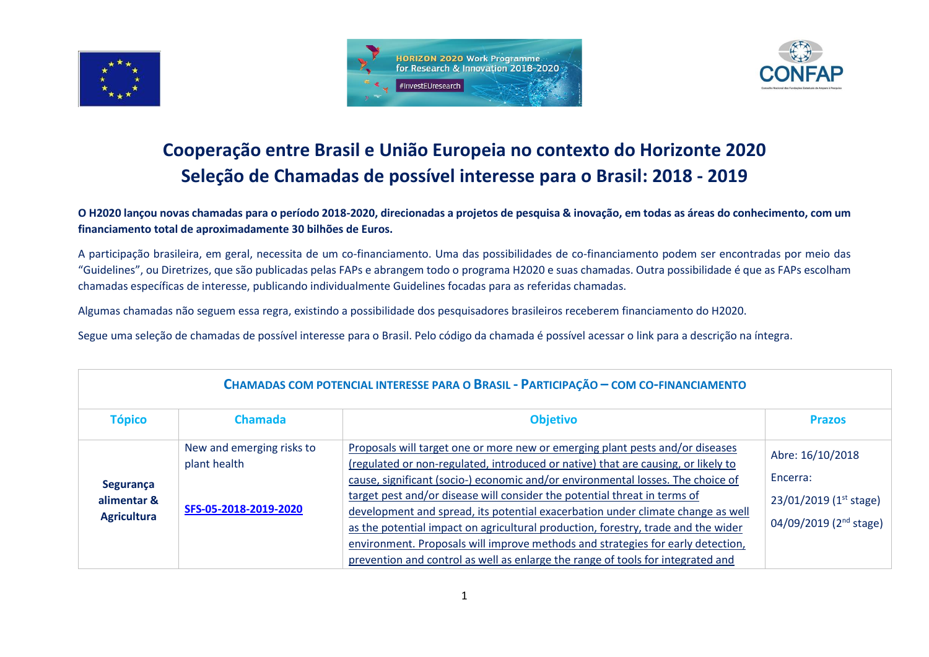





## **Cooperação entre Brasil e União Europeia no contexto do Horizonte 2020 Seleção de Chamadas de possível interesse para o Brasil: 2018 - 2019**

**O H2020 lançou novas chamadas para o período 2018-2020, direcionadas a projetos de pesquisa & inovação, em todas as áreas do conhecimento, com um financiamento total de aproximadamente 30 bilhões de Euros.**

A participação brasileira, em geral, necessita de um co-financiamento. Uma das possibilidades de co-financiamento podem ser encontradas por meio das "Guidelines", ou Diretrizes, que são publicadas pelas FAPs e abrangem todo o programa H2020 e suas chamadas. Outra possibilidade é que as FAPs escolham chamadas específicas de interesse, publicando individualmente Guidelines focadas para as referidas chamadas.

Algumas chamadas não seguem essa regra, existindo a possibilidade dos pesquisadores brasileiros receberem financiamento do H2020.

Segue uma seleção de chamadas de possível interesse para o Brasil. Pelo código da chamada é possível acessar o link para a descrição na íntegra.

| CHAMADAS COM POTENCIAL INTERESSE PARA O BRASIL - PARTICIPAÇÃO – COM CO-FINANCIAMENTO |                                                                    |                                                                                                                                                                                                                                                                                                                                                                                                                                                                                                                                                                                                                                                                                  |                                                                                              |  |
|--------------------------------------------------------------------------------------|--------------------------------------------------------------------|----------------------------------------------------------------------------------------------------------------------------------------------------------------------------------------------------------------------------------------------------------------------------------------------------------------------------------------------------------------------------------------------------------------------------------------------------------------------------------------------------------------------------------------------------------------------------------------------------------------------------------------------------------------------------------|----------------------------------------------------------------------------------------------|--|
| <b>Tópico</b>                                                                        | <b>Chamada</b>                                                     | <b>Objetivo</b>                                                                                                                                                                                                                                                                                                                                                                                                                                                                                                                                                                                                                                                                  | <b>Prazos</b>                                                                                |  |
| Segurança<br>alimentar &<br><b>Agricultura</b>                                       | New and emerging risks to<br>plant health<br>SFS-05-2018-2019-2020 | Proposals will target one or more new or emerging plant pests and/or diseases<br>(regulated or non-regulated, introduced or native) that are causing, or likely to<br>cause, significant (socio-) economic and/or environmental losses. The choice of<br>target pest and/or disease will consider the potential threat in terms of<br>development and spread, its potential exacerbation under climate change as well<br>as the potential impact on agricultural production, forestry, trade and the wider<br>environment. Proposals will improve methods and strategies for early detection,<br>prevention and control as well as enlarge the range of tools for integrated and | Abre: 16/10/2018<br>Encerra:<br>23/01/2019 (1st stage)<br>04/09/2019 (2 <sup>nd</sup> stage) |  |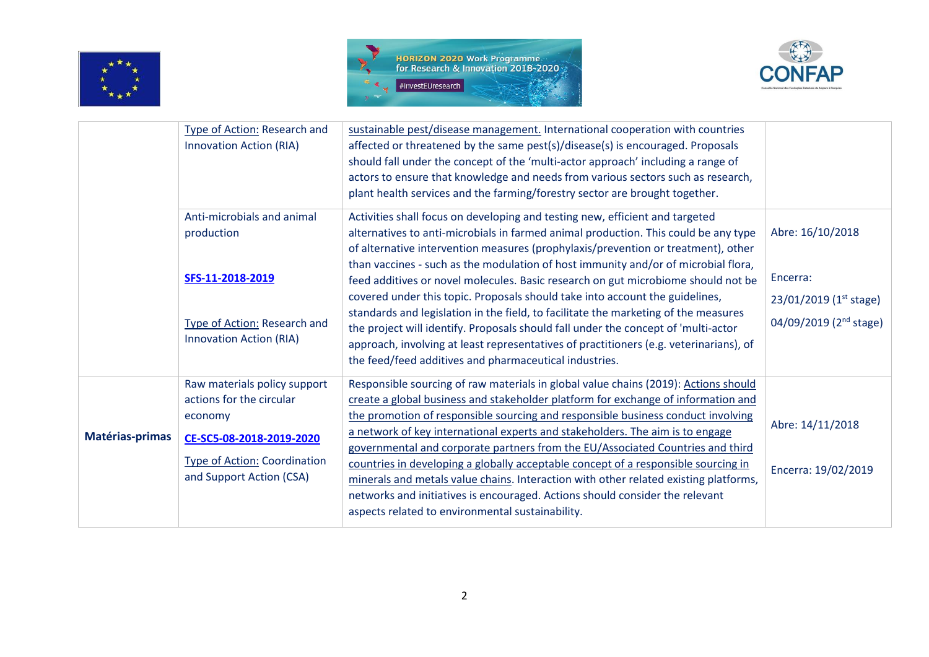





|                 | Type of Action: Research and<br><b>Innovation Action (RIA)</b>                                                                         | sustainable pest/disease management. International cooperation with countries<br>affected or threatened by the same pest(s)/disease(s) is encouraged. Proposals<br>should fall under the concept of the 'multi-actor approach' including a range of<br>actors to ensure that knowledge and needs from various sectors such as research,<br>plant health services and the farming/forestry sector are brought together.                                                                                                         |                                                                                        |
|-----------------|----------------------------------------------------------------------------------------------------------------------------------------|--------------------------------------------------------------------------------------------------------------------------------------------------------------------------------------------------------------------------------------------------------------------------------------------------------------------------------------------------------------------------------------------------------------------------------------------------------------------------------------------------------------------------------|----------------------------------------------------------------------------------------|
|                 | Anti-microbials and animal<br>production                                                                                               | Activities shall focus on developing and testing new, efficient and targeted<br>alternatives to anti-microbials in farmed animal production. This could be any type<br>of alternative intervention measures (prophylaxis/prevention or treatment), other                                                                                                                                                                                                                                                                       | Abre: 16/10/2018                                                                       |
|                 | SFS-11-2018-2019<br>Type of Action: Research and<br><b>Innovation Action (RIA)</b>                                                     | than vaccines - such as the modulation of host immunity and/or of microbial flora,<br>feed additives or novel molecules. Basic research on gut microbiome should not be<br>covered under this topic. Proposals should take into account the guidelines,<br>standards and legislation in the field, to facilitate the marketing of the measures<br>the project will identify. Proposals should fall under the concept of 'multi-actor<br>approach, involving at least representatives of practitioners (e.g. veterinarians), of | Encerra:<br>$23/01/2019$ (1 <sup>st</sup> stage)<br>04/09/2019 (2 <sup>nd</sup> stage) |
|                 |                                                                                                                                        | the feed/feed additives and pharmaceutical industries.                                                                                                                                                                                                                                                                                                                                                                                                                                                                         |                                                                                        |
| Matérias-primas | Raw materials policy support<br>actions for the circular<br>economy<br>CE-SC5-08-2018-2019-2020<br><b>Type of Action: Coordination</b> | Responsible sourcing of raw materials in global value chains (2019): Actions should<br>create a global business and stakeholder platform for exchange of information and<br>the promotion of responsible sourcing and responsible business conduct involving<br>a network of key international experts and stakeholders. The aim is to engage<br>governmental and corporate partners from the EU/Associated Countries and third<br>countries in developing a globally acceptable concept of a responsible sourcing in          | Abre: 14/11/2018<br>Encerra: 19/02/2019                                                |
|                 | and Support Action (CSA)                                                                                                               | minerals and metals value chains. Interaction with other related existing platforms,<br>networks and initiatives is encouraged. Actions should consider the relevant<br>aspects related to environmental sustainability.                                                                                                                                                                                                                                                                                                       |                                                                                        |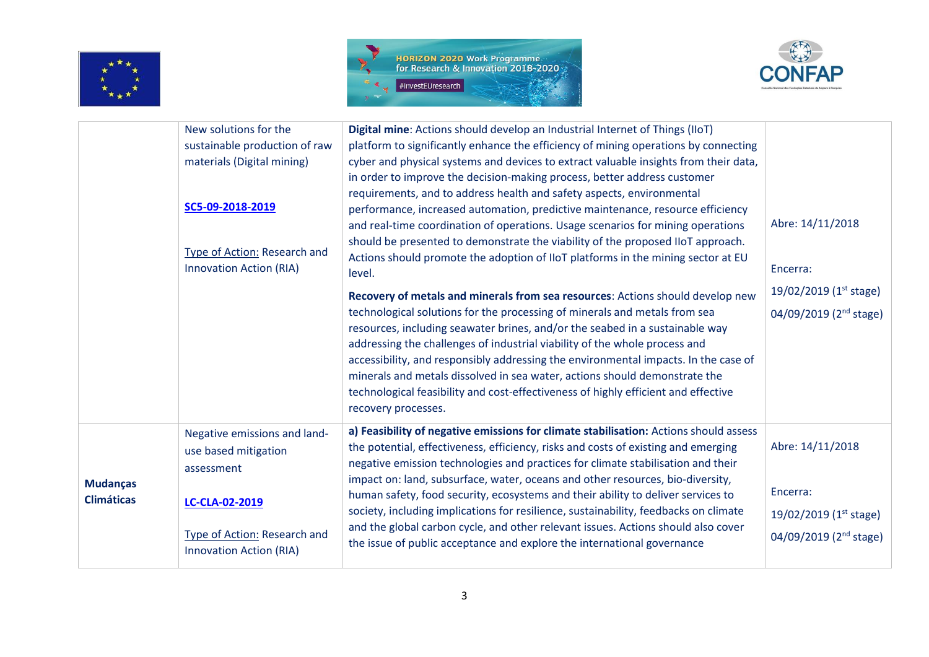





|                                      | New solutions for the<br>sustainable production of raw<br>materials (Digital mining)<br>SC5-09-2018-2019<br>Type of Action: Research and<br><b>Innovation Action (RIA)</b> | Digital mine: Actions should develop an Industrial Internet of Things (IIoT)<br>platform to significantly enhance the efficiency of mining operations by connecting<br>cyber and physical systems and devices to extract valuable insights from their data,<br>in order to improve the decision-making process, better address customer<br>requirements, and to address health and safety aspects, environmental<br>performance, increased automation, predictive maintenance, resource efficiency<br>and real-time coordination of operations. Usage scenarios for mining operations<br>should be presented to demonstrate the viability of the proposed IIoT approach.<br>Actions should promote the adoption of IIoT platforms in the mining sector at EU<br>level.<br>Recovery of metals and minerals from sea resources: Actions should develop new<br>technological solutions for the processing of minerals and metals from sea<br>resources, including seawater brines, and/or the seabed in a sustainable way<br>addressing the challenges of industrial viability of the whole process and<br>accessibility, and responsibly addressing the environmental impacts. In the case of<br>minerals and metals dissolved in sea water, actions should demonstrate the<br>technological feasibility and cost-effectiveness of highly efficient and effective<br>recovery processes. | Abre: 14/11/2018<br>Encerra:<br>19/02/2019 ( $1st stage$ )<br>04/09/2019 (2 <sup>nd</sup> stage) |
|--------------------------------------|----------------------------------------------------------------------------------------------------------------------------------------------------------------------------|----------------------------------------------------------------------------------------------------------------------------------------------------------------------------------------------------------------------------------------------------------------------------------------------------------------------------------------------------------------------------------------------------------------------------------------------------------------------------------------------------------------------------------------------------------------------------------------------------------------------------------------------------------------------------------------------------------------------------------------------------------------------------------------------------------------------------------------------------------------------------------------------------------------------------------------------------------------------------------------------------------------------------------------------------------------------------------------------------------------------------------------------------------------------------------------------------------------------------------------------------------------------------------------------------------------------------------------------------------------------------------------|--------------------------------------------------------------------------------------------------|
| <b>Mudanças</b><br><b>Climáticas</b> | Negative emissions and land-<br>use based mitigation<br>assessment                                                                                                         | a) Feasibility of negative emissions for climate stabilisation: Actions should assess<br>the potential, effectiveness, efficiency, risks and costs of existing and emerging<br>negative emission technologies and practices for climate stabilisation and their<br>impact on: land, subsurface, water, oceans and other resources, bio-diversity,                                                                                                                                                                                                                                                                                                                                                                                                                                                                                                                                                                                                                                                                                                                                                                                                                                                                                                                                                                                                                                      | Abre: 14/11/2018                                                                                 |
|                                      | LC-CLA-02-2019<br>Type of Action: Research and                                                                                                                             | human safety, food security, ecosystems and their ability to deliver services to<br>society, including implications for resilience, sustainability, feedbacks on climate<br>and the global carbon cycle, and other relevant issues. Actions should also cover<br>the issue of public acceptance and explore the international governance                                                                                                                                                                                                                                                                                                                                                                                                                                                                                                                                                                                                                                                                                                                                                                                                                                                                                                                                                                                                                                               | Encerra:<br>19/02/2019 (1st stage)<br>04/09/2019 (2 <sup>nd</sup> stage)                         |
|                                      | <b>Innovation Action (RIA)</b>                                                                                                                                             |                                                                                                                                                                                                                                                                                                                                                                                                                                                                                                                                                                                                                                                                                                                                                                                                                                                                                                                                                                                                                                                                                                                                                                                                                                                                                                                                                                                        |                                                                                                  |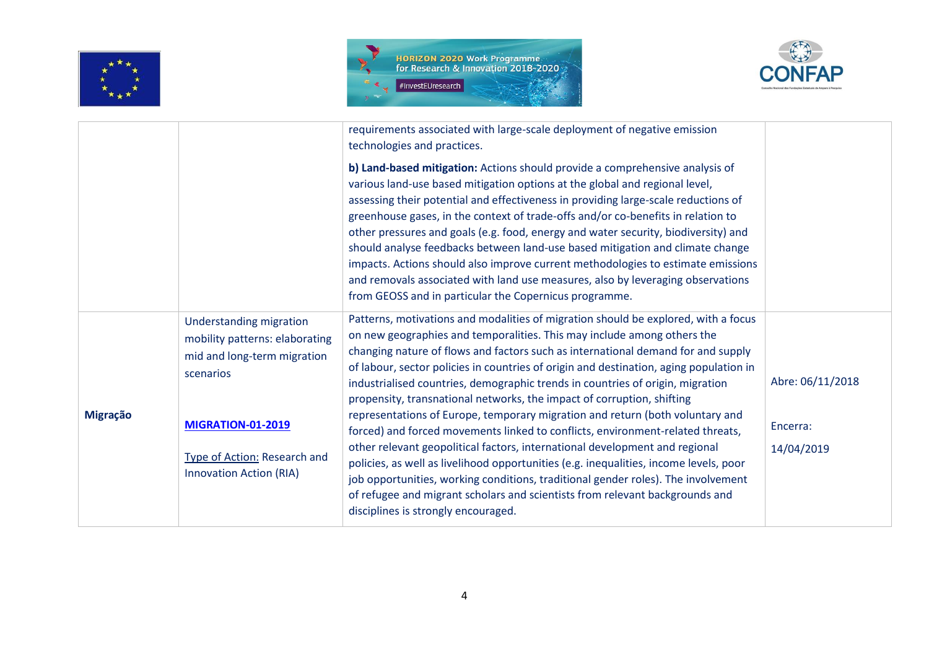





|                 |                                                                                                              | requirements associated with large-scale deployment of negative emission<br>technologies and practices.                                                                                                                                                                                                                                                                                                                                                                                                                                                                                                                                                                                                                                       |                        |
|-----------------|--------------------------------------------------------------------------------------------------------------|-----------------------------------------------------------------------------------------------------------------------------------------------------------------------------------------------------------------------------------------------------------------------------------------------------------------------------------------------------------------------------------------------------------------------------------------------------------------------------------------------------------------------------------------------------------------------------------------------------------------------------------------------------------------------------------------------------------------------------------------------|------------------------|
|                 |                                                                                                              | b) Land-based mitigation: Actions should provide a comprehensive analysis of<br>various land-use based mitigation options at the global and regional level,<br>assessing their potential and effectiveness in providing large-scale reductions of<br>greenhouse gases, in the context of trade-offs and/or co-benefits in relation to<br>other pressures and goals (e.g. food, energy and water security, biodiversity) and<br>should analyse feedbacks between land-use based mitigation and climate change<br>impacts. Actions should also improve current methodologies to estimate emissions<br>and removals associated with land use measures, also by leveraging observations<br>from GEOSS and in particular the Copernicus programme. |                        |
|                 | <b>Understanding migration</b><br>mobility patterns: elaborating<br>mid and long-term migration<br>scenarios | Patterns, motivations and modalities of migration should be explored, with a focus<br>on new geographies and temporalities. This may include among others the<br>changing nature of flows and factors such as international demand for and supply<br>of labour, sector policies in countries of origin and destination, aging population in<br>industrialised countries, demographic trends in countries of origin, migration<br>propensity, transnational networks, the impact of corruption, shifting                                                                                                                                                                                                                                       | Abre: 06/11/2018       |
| <b>Migração</b> | <b>MIGRATION-01-2019</b><br>Type of Action: Research and<br><b>Innovation Action (RIA)</b>                   | representations of Europe, temporary migration and return (both voluntary and<br>forced) and forced movements linked to conflicts, environment-related threats,<br>other relevant geopolitical factors, international development and regional<br>policies, as well as livelihood opportunities (e.g. inequalities, income levels, poor<br>job opportunities, working conditions, traditional gender roles). The involvement<br>of refugee and migrant scholars and scientists from relevant backgrounds and<br>disciplines is strongly encouraged.                                                                                                                                                                                           | Encerra:<br>14/04/2019 |
|                 |                                                                                                              |                                                                                                                                                                                                                                                                                                                                                                                                                                                                                                                                                                                                                                                                                                                                               |                        |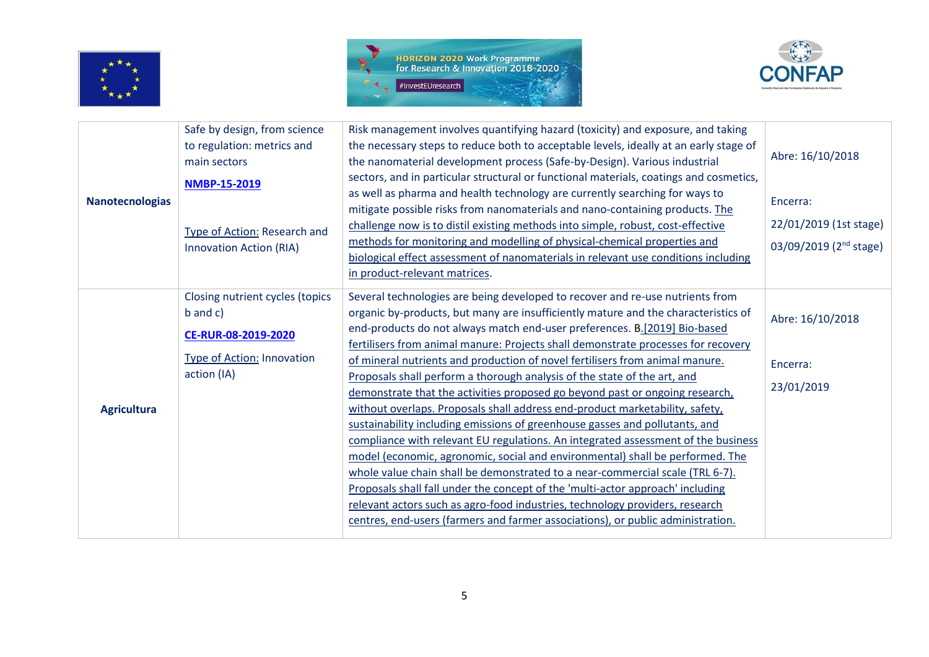





| <b>Nanotecnologias</b> | Safe by design, from science<br>to regulation: metrics and<br>main sectors<br><b>NMBP-15-2019</b><br>Type of Action: Research and | Risk management involves quantifying hazard (toxicity) and exposure, and taking<br>the necessary steps to reduce both to acceptable levels, ideally at an early stage of<br>the nanomaterial development process (Safe-by-Design). Various industrial<br>sectors, and in particular structural or functional materials, coatings and cosmetics,<br>as well as pharma and health technology are currently searching for ways to<br>mitigate possible risks from nanomaterials and nano-containing products. The<br>challenge now is to distil existing methods into simple, robust, cost-effective                                                                                                                                                                                                                                                                                                                                                                                                                                                                                                                                                                                                                                                            | Abre: 16/10/2018<br>Encerra:<br>22/01/2019 (1st stage) |
|------------------------|-----------------------------------------------------------------------------------------------------------------------------------|--------------------------------------------------------------------------------------------------------------------------------------------------------------------------------------------------------------------------------------------------------------------------------------------------------------------------------------------------------------------------------------------------------------------------------------------------------------------------------------------------------------------------------------------------------------------------------------------------------------------------------------------------------------------------------------------------------------------------------------------------------------------------------------------------------------------------------------------------------------------------------------------------------------------------------------------------------------------------------------------------------------------------------------------------------------------------------------------------------------------------------------------------------------------------------------------------------------------------------------------------------------|--------------------------------------------------------|
|                        | <b>Innovation Action (RIA)</b>                                                                                                    | methods for monitoring and modelling of physical-chemical properties and<br>biological effect assessment of nanomaterials in relevant use conditions including<br>in product-relevant matrices.                                                                                                                                                                                                                                                                                                                                                                                                                                                                                                                                                                                                                                                                                                                                                                                                                                                                                                                                                                                                                                                              | 03/09/2019 (2 <sup>nd</sup> stage)                     |
| <b>Agricultura</b>     | Closing nutrient cycles (topics<br>$b$ and $c$ )<br>CE-RUR-08-2019-2020<br><b>Type of Action: Innovation</b><br>action (IA)       | Several technologies are being developed to recover and re-use nutrients from<br>organic by-products, but many are insufficiently mature and the characteristics of<br>end-products do not always match end-user preferences. B.[2019] Bio-based<br>fertilisers from animal manure: Projects shall demonstrate processes for recovery<br>of mineral nutrients and production of novel fertilisers from animal manure.<br>Proposals shall perform a thorough analysis of the state of the art, and<br>demonstrate that the activities proposed go beyond past or ongoing research,<br>without overlaps. Proposals shall address end-product marketability, safety,<br>sustainability including emissions of greenhouse gasses and pollutants, and<br>compliance with relevant EU regulations. An integrated assessment of the business<br>model (economic, agronomic, social and environmental) shall be performed. The<br>whole value chain shall be demonstrated to a near-commercial scale (TRL 6-7).<br>Proposals shall fall under the concept of the 'multi-actor approach' including<br>relevant actors such as agro-food industries, technology providers, research<br>centres, end-users (farmers and farmer associations), or public administration. | Abre: 16/10/2018<br>Encerra:<br>23/01/2019             |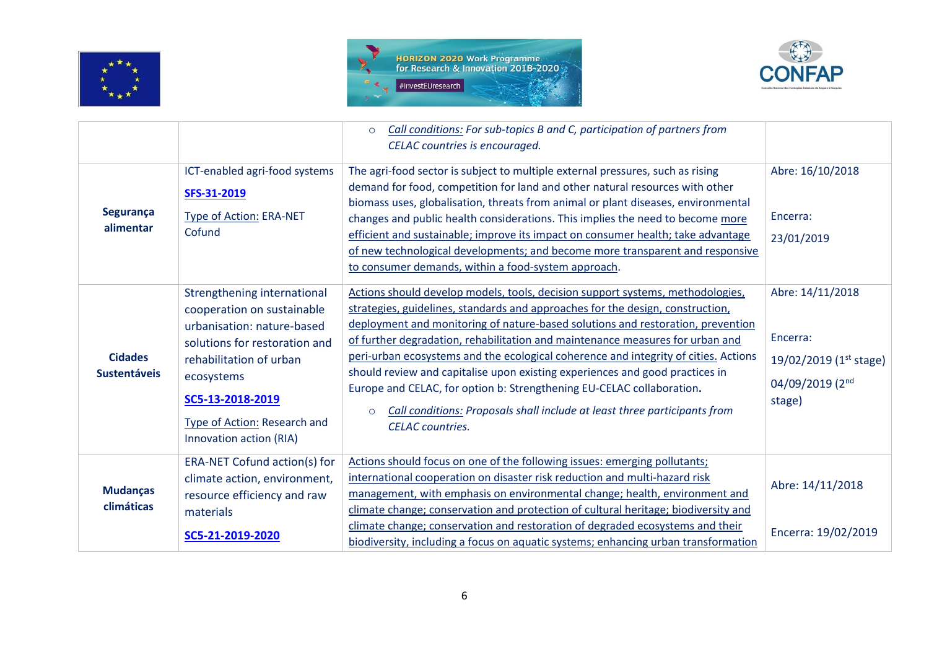





|                                       |                                                                                                                                                                                                                                                  | Call conditions: For sub-topics B and C, participation of partners from<br>$\circ$<br>CELAC countries is encouraged.                                                                                                                                                                                                                                                                                                                                                                                                                                                                                                                                                                                    |                                                                                     |
|---------------------------------------|--------------------------------------------------------------------------------------------------------------------------------------------------------------------------------------------------------------------------------------------------|---------------------------------------------------------------------------------------------------------------------------------------------------------------------------------------------------------------------------------------------------------------------------------------------------------------------------------------------------------------------------------------------------------------------------------------------------------------------------------------------------------------------------------------------------------------------------------------------------------------------------------------------------------------------------------------------------------|-------------------------------------------------------------------------------------|
| Segurança<br>alimentar                | ICT-enabled agri-food systems<br>SFS-31-2019<br>Type of Action: ERA-NET<br>Cofund                                                                                                                                                                | The agri-food sector is subject to multiple external pressures, such as rising<br>demand for food, competition for land and other natural resources with other<br>biomass uses, globalisation, threats from animal or plant diseases, environmental<br>changes and public health considerations. This implies the need to become more<br>efficient and sustainable; improve its impact on consumer health; take advantage<br>of new technological developments; and become more transparent and responsive<br>to consumer demands, within a food-system approach.                                                                                                                                       | Abre: 16/10/2018<br>Encerra:<br>23/01/2019                                          |
| <b>Cidades</b><br><b>Sustentáveis</b> | Strengthening international<br>cooperation on sustainable<br>urbanisation: nature-based<br>solutions for restoration and<br>rehabilitation of urban<br>ecosystems<br>SC5-13-2018-2019<br>Type of Action: Research and<br>Innovation action (RIA) | Actions should develop models, tools, decision support systems, methodologies,<br>strategies, guidelines, standards and approaches for the design, construction,<br>deployment and monitoring of nature-based solutions and restoration, prevention<br>of further degradation, rehabilitation and maintenance measures for urban and<br>peri-urban ecosystems and the ecological coherence and integrity of cities. Actions<br>should review and capitalise upon existing experiences and good practices in<br>Europe and CELAC, for option b: Strengthening EU-CELAC collaboration.<br>Call conditions: Proposals shall include at least three participants from<br>$\circ$<br><b>CELAC</b> countries. | Abre: 14/11/2018<br>Encerra:<br>19/02/2019 (1st stage)<br>04/09/2019 (2nd<br>stage) |
| <b>Mudanças</b><br>climáticas         | ERA-NET Cofund action(s) for<br>climate action, environment,<br>resource efficiency and raw<br>materials<br>SC5-21-2019-2020                                                                                                                     | Actions should focus on one of the following issues: emerging pollutants;<br>international cooperation on disaster risk reduction and multi-hazard risk<br>management, with emphasis on environmental change; health, environment and<br>climate change; conservation and protection of cultural heritage; biodiversity and<br>climate change; conservation and restoration of degraded ecosystems and their<br>biodiversity, including a focus on aquatic systems; enhancing urban transformation                                                                                                                                                                                                      | Abre: 14/11/2018<br>Encerra: 19/02/2019                                             |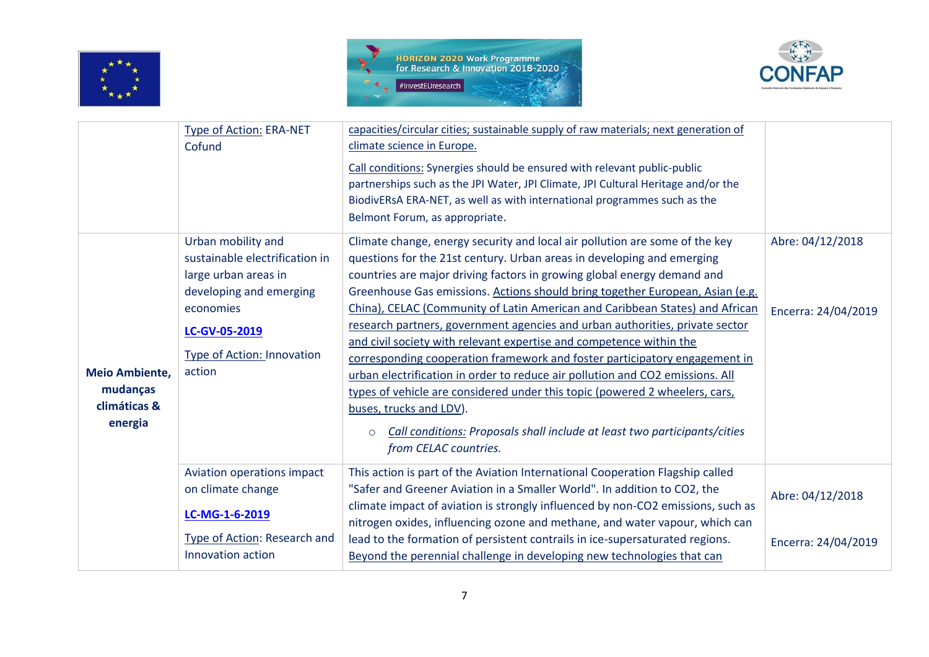





| Type of Action: ERA-NET        |                                                                                                                            |                                                                                                                                                                                                                                                                                                                                                                                                                                                                                                                                                                                                                                                                                                                                      |
|--------------------------------|----------------------------------------------------------------------------------------------------------------------------|--------------------------------------------------------------------------------------------------------------------------------------------------------------------------------------------------------------------------------------------------------------------------------------------------------------------------------------------------------------------------------------------------------------------------------------------------------------------------------------------------------------------------------------------------------------------------------------------------------------------------------------------------------------------------------------------------------------------------------------|
|                                |                                                                                                                            |                                                                                                                                                                                                                                                                                                                                                                                                                                                                                                                                                                                                                                                                                                                                      |
|                                |                                                                                                                            |                                                                                                                                                                                                                                                                                                                                                                                                                                                                                                                                                                                                                                                                                                                                      |
|                                |                                                                                                                            |                                                                                                                                                                                                                                                                                                                                                                                                                                                                                                                                                                                                                                                                                                                                      |
|                                | BiodivERsA ERA-NET, as well as with international programmes such as the                                                   |                                                                                                                                                                                                                                                                                                                                                                                                                                                                                                                                                                                                                                                                                                                                      |
|                                | Belmont Forum, as appropriate.                                                                                             |                                                                                                                                                                                                                                                                                                                                                                                                                                                                                                                                                                                                                                                                                                                                      |
| Urban mobility and             | Climate change, energy security and local air pollution are some of the key                                                | Abre: 04/12/2018                                                                                                                                                                                                                                                                                                                                                                                                                                                                                                                                                                                                                                                                                                                     |
| sustainable electrification in | questions for the 21st century. Urban areas in developing and emerging                                                     |                                                                                                                                                                                                                                                                                                                                                                                                                                                                                                                                                                                                                                                                                                                                      |
| large urban areas in           | countries are major driving factors in growing global energy demand and                                                    |                                                                                                                                                                                                                                                                                                                                                                                                                                                                                                                                                                                                                                                                                                                                      |
| developing and emerging        |                                                                                                                            |                                                                                                                                                                                                                                                                                                                                                                                                                                                                                                                                                                                                                                                                                                                                      |
| economies                      | China), CELAC (Community of Latin American and Caribbean States) and African                                               | Encerra: 24/04/2019                                                                                                                                                                                                                                                                                                                                                                                                                                                                                                                                                                                                                                                                                                                  |
|                                | research partners, government agencies and urban authorities, private sector                                               |                                                                                                                                                                                                                                                                                                                                                                                                                                                                                                                                                                                                                                                                                                                                      |
|                                | and civil society with relevant expertise and competence within the                                                        |                                                                                                                                                                                                                                                                                                                                                                                                                                                                                                                                                                                                                                                                                                                                      |
|                                | corresponding cooperation framework and foster participatory engagement in                                                 |                                                                                                                                                                                                                                                                                                                                                                                                                                                                                                                                                                                                                                                                                                                                      |
| action                         | urban electrification in order to reduce air pollution and CO2 emissions. All                                              |                                                                                                                                                                                                                                                                                                                                                                                                                                                                                                                                                                                                                                                                                                                                      |
|                                | types of vehicle are considered under this topic (powered 2 wheelers, cars,                                                |                                                                                                                                                                                                                                                                                                                                                                                                                                                                                                                                                                                                                                                                                                                                      |
|                                | buses, trucks and LDV).                                                                                                    |                                                                                                                                                                                                                                                                                                                                                                                                                                                                                                                                                                                                                                                                                                                                      |
|                                |                                                                                                                            |                                                                                                                                                                                                                                                                                                                                                                                                                                                                                                                                                                                                                                                                                                                                      |
|                                |                                                                                                                            |                                                                                                                                                                                                                                                                                                                                                                                                                                                                                                                                                                                                                                                                                                                                      |
|                                |                                                                                                                            |                                                                                                                                                                                                                                                                                                                                                                                                                                                                                                                                                                                                                                                                                                                                      |
|                                |                                                                                                                            |                                                                                                                                                                                                                                                                                                                                                                                                                                                                                                                                                                                                                                                                                                                                      |
|                                |                                                                                                                            | Abre: 04/12/2018                                                                                                                                                                                                                                                                                                                                                                                                                                                                                                                                                                                                                                                                                                                     |
|                                |                                                                                                                            |                                                                                                                                                                                                                                                                                                                                                                                                                                                                                                                                                                                                                                                                                                                                      |
|                                | nitrogen oxides, influencing ozone and methane, and water vapour, which can                                                |                                                                                                                                                                                                                                                                                                                                                                                                                                                                                                                                                                                                                                                                                                                                      |
| Type of Action: Research and   | lead to the formation of persistent contrails in ice-supersaturated regions.                                               | Encerra: 24/04/2019                                                                                                                                                                                                                                                                                                                                                                                                                                                                                                                                                                                                                                                                                                                  |
| Innovation action              | Beyond the perennial challenge in developing new technologies that can                                                     |                                                                                                                                                                                                                                                                                                                                                                                                                                                                                                                                                                                                                                                                                                                                      |
|                                | Cofund<br>LC-GV-05-2019<br>Type of Action: Innovation<br>Aviation operations impact<br>on climate change<br>LC-MG-1-6-2019 | capacities/circular cities; sustainable supply of raw materials; next generation of<br>climate science in Europe.<br>Call conditions: Synergies should be ensured with relevant public-public<br>partnerships such as the JPI Water, JPI Climate, JPI Cultural Heritage and/or the<br>Greenhouse Gas emissions. Actions should bring together European, Asian (e.g.<br>Call conditions: Proposals shall include at least two participants/cities<br>$\circ$<br>from CELAC countries.<br>This action is part of the Aviation International Cooperation Flagship called<br>"Safer and Greener Aviation in a Smaller World". In addition to CO2, the<br>climate impact of aviation is strongly influenced by non-CO2 emissions, such as |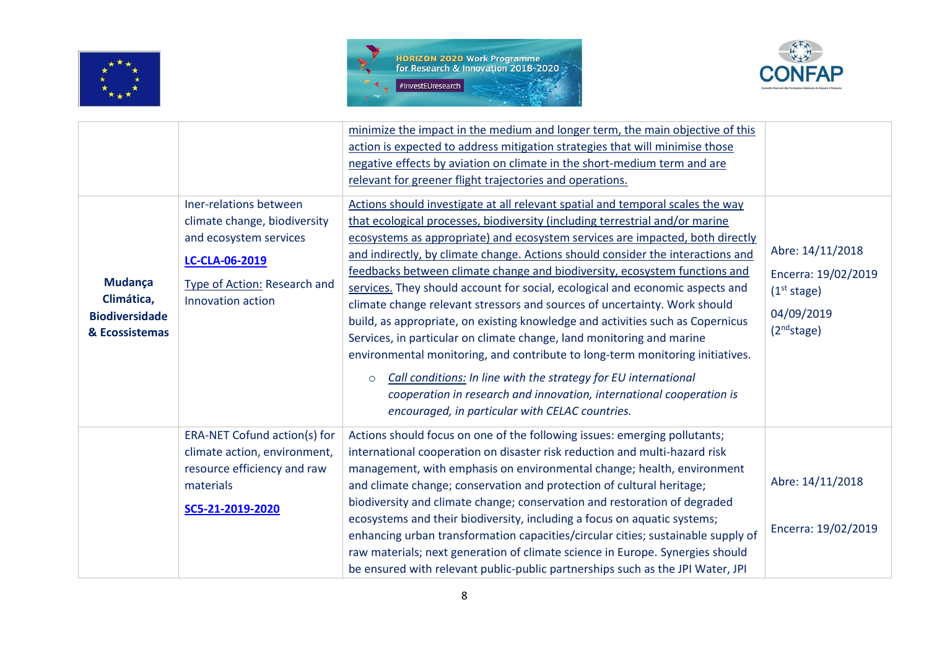





|                                                                  |                                                                                                                                                                | minimize the impact in the medium and longer term, the main objective of this<br>action is expected to address mitigation strategies that will minimise those<br>negative effects by aviation on climate in the short-medium term and are<br>relevant for greener flight trajectories and operations.                                                                                                                                                                                                                                                                                                                                                                                                                                                                                                                                                                                                                                                                                                                               |                                                                                                             |
|------------------------------------------------------------------|----------------------------------------------------------------------------------------------------------------------------------------------------------------|-------------------------------------------------------------------------------------------------------------------------------------------------------------------------------------------------------------------------------------------------------------------------------------------------------------------------------------------------------------------------------------------------------------------------------------------------------------------------------------------------------------------------------------------------------------------------------------------------------------------------------------------------------------------------------------------------------------------------------------------------------------------------------------------------------------------------------------------------------------------------------------------------------------------------------------------------------------------------------------------------------------------------------------|-------------------------------------------------------------------------------------------------------------|
| Mudança<br>Climática,<br><b>Biodiversidade</b><br>& Ecossistemas | Iner-relations between<br>climate change, biodiversity<br>and ecosystem services<br>LC-CLA-06-2019<br><b>Type of Action: Research and</b><br>Innovation action | Actions should investigate at all relevant spatial and temporal scales the way<br>that ecological processes, biodiversity (including terrestrial and/or marine<br>ecosystems as appropriate) and ecosystem services are impacted, both directly<br>and indirectly, by climate change. Actions should consider the interactions and<br>feedbacks between climate change and biodiversity, ecosystem functions and<br>services. They should account for social, ecological and economic aspects and<br>climate change relevant stressors and sources of uncertainty. Work should<br>build, as appropriate, on existing knowledge and activities such as Copernicus<br>Services, in particular on climate change, land monitoring and marine<br>environmental monitoring, and contribute to long-term monitoring initiatives.<br>Call conditions: In line with the strategy for EU international<br>$\circ$<br>cooperation in research and innovation, international cooperation is<br>encouraged, in particular with CELAC countries. | Abre: 14/11/2018<br>Encerra: 19/02/2019<br>(1 <sup>st</sup> stage)<br>04/09/2019<br>(2 <sup>nd</sup> stage) |
|                                                                  | ERA-NET Cofund action(s) for<br>climate action, environment,<br>resource efficiency and raw<br>materials<br>SC5-21-2019-2020                                   | Actions should focus on one of the following issues: emerging pollutants;<br>international cooperation on disaster risk reduction and multi-hazard risk<br>management, with emphasis on environmental change; health, environment<br>and climate change; conservation and protection of cultural heritage;<br>biodiversity and climate change; conservation and restoration of degraded<br>ecosystems and their biodiversity, including a focus on aquatic systems;<br>enhancing urban transformation capacities/circular cities; sustainable supply of<br>raw materials; next generation of climate science in Europe. Synergies should<br>be ensured with relevant public-public partnerships such as the JPI Water, JPI                                                                                                                                                                                                                                                                                                          | Abre: 14/11/2018<br>Encerra: 19/02/2019                                                                     |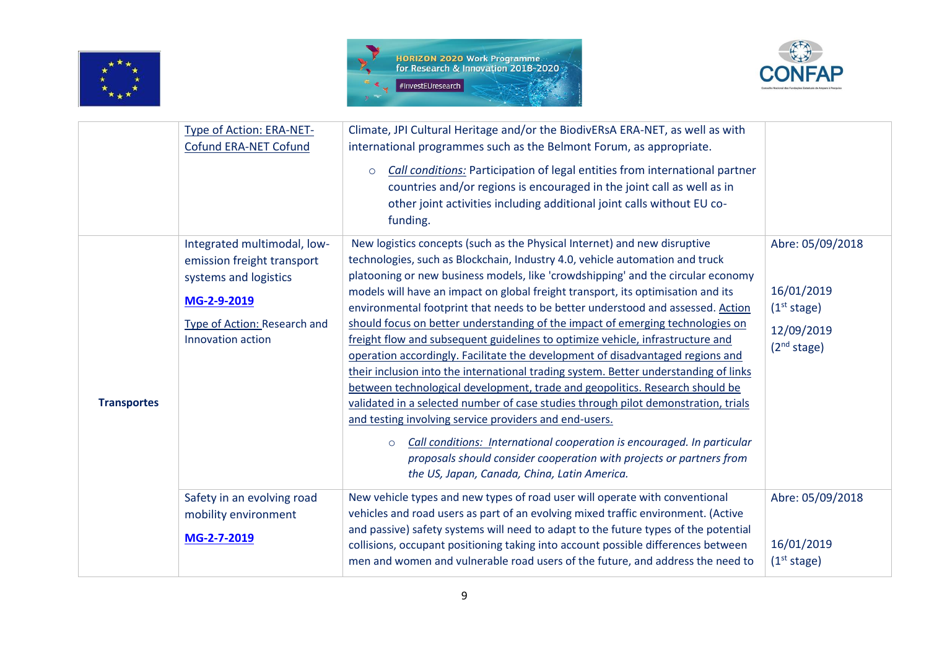





|                    | Type of Action: ERA-NET-<br>Cofund ERA-NET Cofund                                                                                                      | Climate, JPI Cultural Heritage and/or the BiodivERsA ERA-NET, as well as with<br>international programmes such as the Belmont Forum, as appropriate.                                                                                                                                                                                                                                                                                                                                                                                                                                                                                                                                                                                                                                                                                                                                                                                                                                                                                                                                                                                                                                                             |                                                                                                    |
|--------------------|--------------------------------------------------------------------------------------------------------------------------------------------------------|------------------------------------------------------------------------------------------------------------------------------------------------------------------------------------------------------------------------------------------------------------------------------------------------------------------------------------------------------------------------------------------------------------------------------------------------------------------------------------------------------------------------------------------------------------------------------------------------------------------------------------------------------------------------------------------------------------------------------------------------------------------------------------------------------------------------------------------------------------------------------------------------------------------------------------------------------------------------------------------------------------------------------------------------------------------------------------------------------------------------------------------------------------------------------------------------------------------|----------------------------------------------------------------------------------------------------|
|                    |                                                                                                                                                        | <b>Call conditions:</b> Participation of legal entities from international partner<br>$\circ$<br>countries and/or regions is encouraged in the joint call as well as in<br>other joint activities including additional joint calls without EU co-<br>funding.                                                                                                                                                                                                                                                                                                                                                                                                                                                                                                                                                                                                                                                                                                                                                                                                                                                                                                                                                    |                                                                                                    |
| <b>Transportes</b> | Integrated multimodal, low-<br>emission freight transport<br>systems and logistics<br>MG-2-9-2019<br>Type of Action: Research and<br>Innovation action | New logistics concepts (such as the Physical Internet) and new disruptive<br>technologies, such as Blockchain, Industry 4.0, vehicle automation and truck<br>platooning or new business models, like 'crowdshipping' and the circular economy<br>models will have an impact on global freight transport, its optimisation and its<br>environmental footprint that needs to be better understood and assessed. Action<br>should focus on better understanding of the impact of emerging technologies on<br>freight flow and subsequent guidelines to optimize vehicle, infrastructure and<br>operation accordingly. Facilitate the development of disadvantaged regions and<br>their inclusion into the international trading system. Better understanding of links<br>between technological development, trade and geopolitics. Research should be<br>validated in a selected number of case studies through pilot demonstration, trials<br>and testing involving service providers and end-users.<br>Call conditions: International cooperation is encouraged. In particular<br>$\circ$<br>proposals should consider cooperation with projects or partners from<br>the US, Japan, Canada, China, Latin America. | Abre: 05/09/2018<br>16/01/2019<br>(1 <sup>st</sup> stage)<br>12/09/2019<br>(2 <sup>nd</sup> stage) |
|                    | Safety in an evolving road<br>mobility environment<br>MG-2-7-2019                                                                                      | New vehicle types and new types of road user will operate with conventional<br>vehicles and road users as part of an evolving mixed traffic environment. (Active<br>and passive) safety systems will need to adapt to the future types of the potential<br>collisions, occupant positioning taking into account possible differences between<br>men and women and vulnerable road users of the future, and address the need to                                                                                                                                                                                                                                                                                                                                                                                                                                                                                                                                                                                                                                                                                                                                                                                   | Abre: 05/09/2018<br>16/01/2019<br>(1 <sup>st</sup> stage)                                          |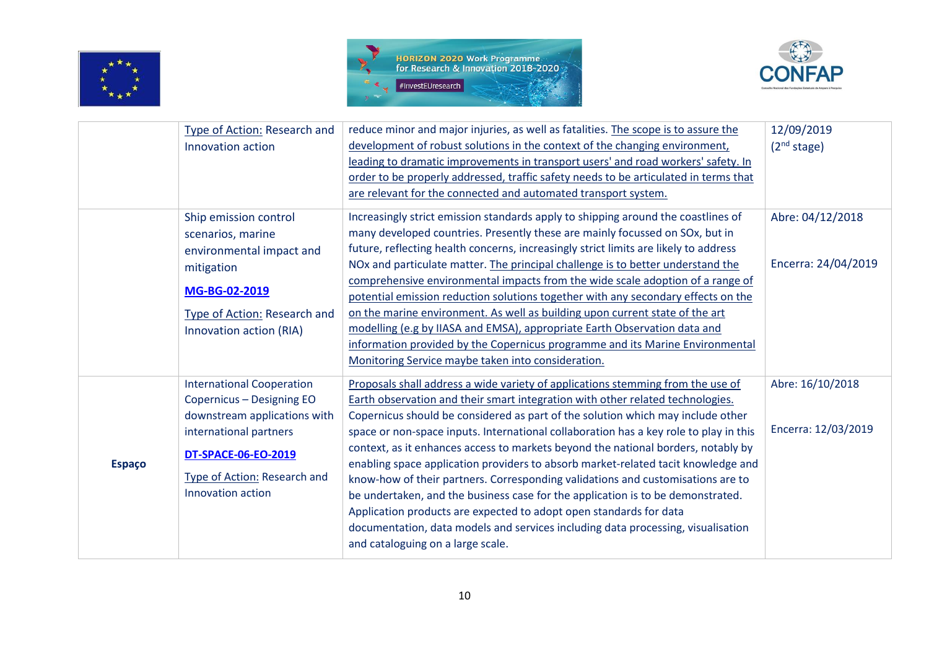





|               | Type of Action: Research and     | reduce minor and major injuries, as well as fatalities. The scope is to assure the    | 12/09/2019              |
|---------------|----------------------------------|---------------------------------------------------------------------------------------|-------------------------|
|               | Innovation action                | development of robust solutions in the context of the changing environment,           | (2 <sup>nd</sup> stage) |
|               |                                  | leading to dramatic improvements in transport users' and road workers' safety. In     |                         |
|               |                                  | order to be properly addressed, traffic safety needs to be articulated in terms that  |                         |
|               |                                  | are relevant for the connected and automated transport system.                        |                         |
|               | Ship emission control            | Increasingly strict emission standards apply to shipping around the coastlines of     | Abre: 04/12/2018        |
|               | scenarios, marine                | many developed countries. Presently these are mainly focussed on SOx, but in          |                         |
|               | environmental impact and         | future, reflecting health concerns, increasingly strict limits are likely to address  |                         |
|               | mitigation                       | NOx and particulate matter. The principal challenge is to better understand the       | Encerra: 24/04/2019     |
|               |                                  | comprehensive environmental impacts from the wide scale adoption of a range of        |                         |
|               | MG-BG-02-2019                    | potential emission reduction solutions together with any secondary effects on the     |                         |
|               | Type of Action: Research and     | on the marine environment. As well as building upon current state of the art          |                         |
|               | Innovation action (RIA)          | modelling (e.g by IIASA and EMSA), appropriate Earth Observation data and             |                         |
|               |                                  | information provided by the Copernicus programme and its Marine Environmental         |                         |
|               |                                  | Monitoring Service maybe taken into consideration.                                    |                         |
|               | <b>International Cooperation</b> | Proposals shall address a wide variety of applications stemming from the use of       | Abre: 16/10/2018        |
|               | Copernicus - Designing EO        | Earth observation and their smart integration with other related technologies.        |                         |
|               | downstream applications with     | Copernicus should be considered as part of the solution which may include other       |                         |
|               | international partners           | space or non-space inputs. International collaboration has a key role to play in this | Encerra: 12/03/2019     |
|               | DT-SPACE-06-EO-2019              | context, as it enhances access to markets beyond the national borders, notably by     |                         |
| <b>Espaço</b> |                                  | enabling space application providers to absorb market-related tacit knowledge and     |                         |
|               | Type of Action: Research and     | know-how of their partners. Corresponding validations and customisations are to       |                         |
|               | Innovation action                | be undertaken, and the business case for the application is to be demonstrated.       |                         |
|               |                                  | Application products are expected to adopt open standards for data                    |                         |
|               |                                  | documentation, data models and services including data processing, visualisation      |                         |
|               |                                  | and cataloguing on a large scale.                                                     |                         |
|               |                                  |                                                                                       |                         |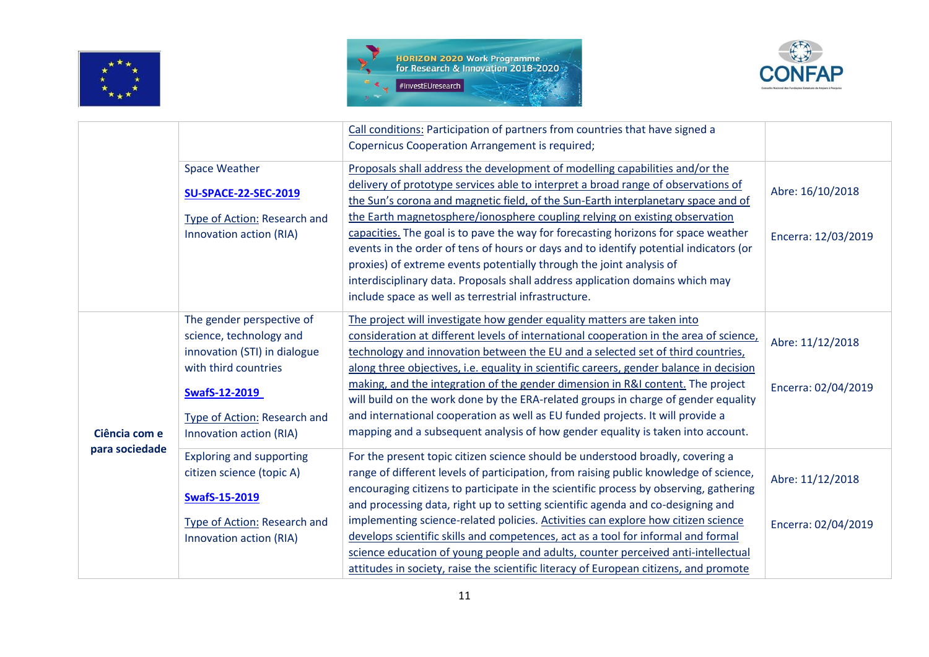





|                |                                 | Call conditions: Participation of partners from countries that have signed a<br><b>Copernicus Cooperation Arrangement is required;</b>                                                                        |                     |
|----------------|---------------------------------|---------------------------------------------------------------------------------------------------------------------------------------------------------------------------------------------------------------|---------------------|
|                | <b>Space Weather</b>            | Proposals shall address the development of modelling capabilities and/or the                                                                                                                                  |                     |
|                | <b>SU-SPACE-22-SEC-2019</b>     | delivery of prototype services able to interpret a broad range of observations of<br>the Sun's corona and magnetic field, of the Sun-Earth interplanetary space and of                                        | Abre: 16/10/2018    |
|                | Type of Action: Research and    | the Earth magnetosphere/ionosphere coupling relying on existing observation                                                                                                                                   |                     |
|                | Innovation action (RIA)         | capacities. The goal is to pave the way for forecasting horizons for space weather<br>events in the order of tens of hours or days and to identify potential indicators (or                                   | Encerra: 12/03/2019 |
|                |                                 | proxies) of extreme events potentially through the joint analysis of<br>interdisciplinary data. Proposals shall address application domains which may<br>include space as well as terrestrial infrastructure. |                     |
|                | The gender perspective of       | The project will investigate how gender equality matters are taken into                                                                                                                                       |                     |
|                | science, technology and         | consideration at different levels of international cooperation in the area of science,                                                                                                                        |                     |
|                | innovation (STI) in dialogue    | technology and innovation between the EU and a selected set of third countries,                                                                                                                               | Abre: 11/12/2018    |
|                | with third countries            | along three objectives, i.e. equality in scientific careers, gender balance in decision                                                                                                                       |                     |
|                | <b>SwafS-12-2019</b>            | making, and the integration of the gender dimension in R&I content. The project<br>will build on the work done by the ERA-related groups in charge of gender equality                                         | Encerra: 02/04/2019 |
|                | Type of Action: Research and    | and international cooperation as well as EU funded projects. It will provide a                                                                                                                                |                     |
| Ciência com e  | Innovation action (RIA)         | mapping and a subsequent analysis of how gender equality is taken into account.                                                                                                                               |                     |
| para sociedade | <b>Exploring and supporting</b> | For the present topic citizen science should be understood broadly, covering a                                                                                                                                |                     |
|                | citizen science (topic A)       | range of different levels of participation, from raising public knowledge of science,                                                                                                                         | Abre: 11/12/2018    |
|                | <b>SwafS-15-2019</b>            | encouraging citizens to participate in the scientific process by observing, gathering<br>and processing data, right up to setting scientific agenda and co-designing and                                      |                     |
|                | Type of Action: Research and    | implementing science-related policies. Activities can explore how citizen science                                                                                                                             | Encerra: 02/04/2019 |
|                | Innovation action (RIA)         | develops scientific skills and competences, act as a tool for informal and formal                                                                                                                             |                     |
|                |                                 | science education of young people and adults, counter perceived anti-intellectual                                                                                                                             |                     |
|                |                                 | attitudes in society, raise the scientific literacy of European citizens, and promote                                                                                                                         |                     |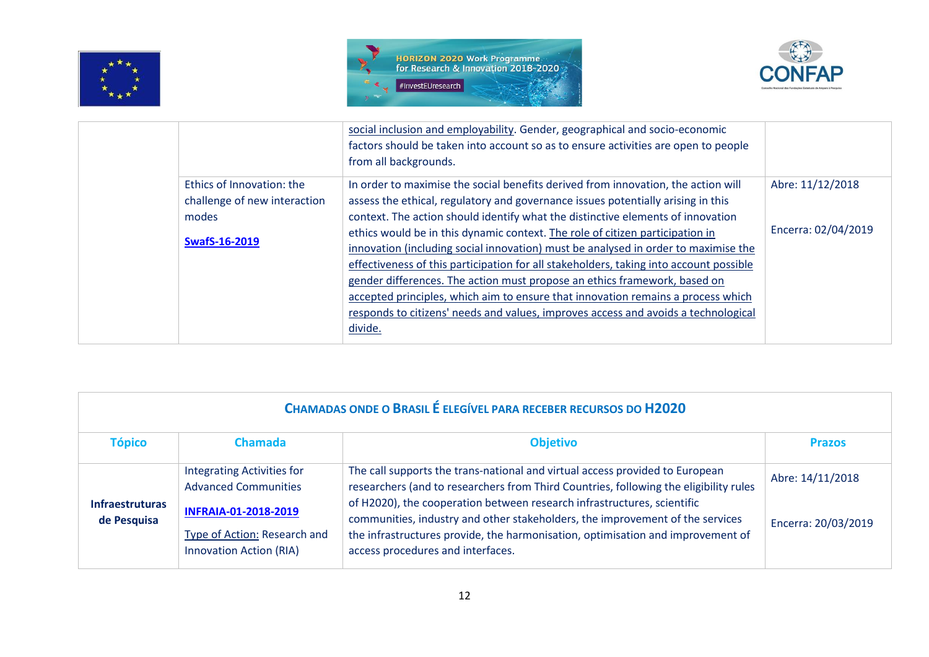





|       |                              | social inclusion and employability. Gender, geographical and socio-economic            |                     |
|-------|------------------------------|----------------------------------------------------------------------------------------|---------------------|
|       |                              | factors should be taken into account so as to ensure activities are open to people     |                     |
|       |                              | from all backgrounds.                                                                  |                     |
|       | Ethics of Innovation: the    | In order to maximise the social benefits derived from innovation, the action will      | Abre: 11/12/2018    |
|       | challenge of new interaction | assess the ethical, regulatory and governance issues potentially arising in this       |                     |
| modes |                              | context. The action should identify what the distinctive elements of innovation        |                     |
|       |                              | ethics would be in this dynamic context. The role of citizen participation in          | Encerra: 02/04/2019 |
|       | <b>SwafS-16-2019</b>         | innovation (including social innovation) must be analysed in order to maximise the     |                     |
|       |                              | effectiveness of this participation for all stakeholders, taking into account possible |                     |
|       |                              | gender differences. The action must propose an ethics framework, based on              |                     |
|       |                              | accepted principles, which aim to ensure that innovation remains a process which       |                     |
|       |                              | responds to citizens' needs and values, improves access and avoids a technological     |                     |
|       |                              | divide.                                                                                |                     |
|       |                              |                                                                                        |                     |

| <b>CHAMADAS ONDE O BRASIL É ELEGÍVEL PARA RECEBER RECURSOS DO H2020</b> |                                                                                                                                                                   |                                                                                                                                                                                                                                                                                                                                                                                                                                                           |                                         |
|-------------------------------------------------------------------------|-------------------------------------------------------------------------------------------------------------------------------------------------------------------|-----------------------------------------------------------------------------------------------------------------------------------------------------------------------------------------------------------------------------------------------------------------------------------------------------------------------------------------------------------------------------------------------------------------------------------------------------------|-----------------------------------------|
| <b>Tópico</b>                                                           | <b>Chamada</b>                                                                                                                                                    | <b>Objetivo</b>                                                                                                                                                                                                                                                                                                                                                                                                                                           | <b>Prazos</b>                           |
| <b>Infraestruturas</b><br>de Pesquisa                                   | <b>Integrating Activities for</b><br><b>Advanced Communities</b><br><b>INFRAIA-01-2018-2019</b><br>Type of Action: Research and<br><b>Innovation Action (RIA)</b> | The call supports the trans-national and virtual access provided to European<br>researchers (and to researchers from Third Countries, following the eligibility rules<br>of H2020), the cooperation between research infrastructures, scientific<br>communities, industry and other stakeholders, the improvement of the services<br>the infrastructures provide, the harmonisation, optimisation and improvement of<br>access procedures and interfaces. | Abre: 14/11/2018<br>Encerra: 20/03/2019 |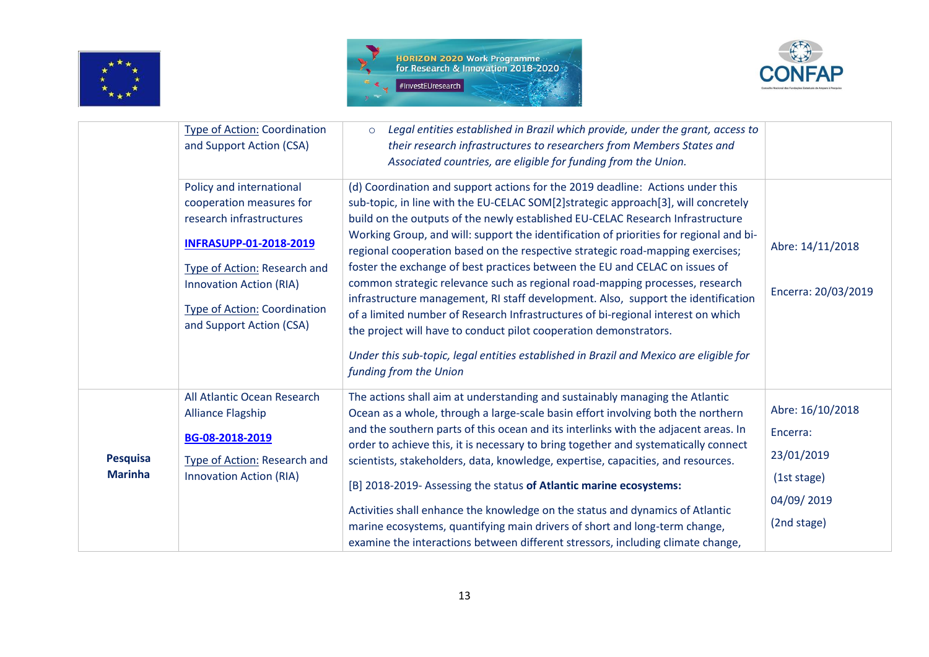





|                                   | <b>Type of Action: Coordination</b><br>and Support Action (CSA)                                                                                                                                                                                        | Legal entities established in Brazil which provide, under the grant, access to<br>$\circ$<br>their research infrastructures to researchers from Members States and<br>Associated countries, are eligible for funding from the Union.                                                                                                                                                                                                                                                                                                                                                                                                                                                                                                                                                                                                                                                                                                                               |                                                                                        |
|-----------------------------------|--------------------------------------------------------------------------------------------------------------------------------------------------------------------------------------------------------------------------------------------------------|--------------------------------------------------------------------------------------------------------------------------------------------------------------------------------------------------------------------------------------------------------------------------------------------------------------------------------------------------------------------------------------------------------------------------------------------------------------------------------------------------------------------------------------------------------------------------------------------------------------------------------------------------------------------------------------------------------------------------------------------------------------------------------------------------------------------------------------------------------------------------------------------------------------------------------------------------------------------|----------------------------------------------------------------------------------------|
|                                   | Policy and international<br>cooperation measures for<br>research infrastructures<br><b>INFRASUPP-01-2018-2019</b><br>Type of Action: Research and<br><b>Innovation Action (RIA)</b><br><b>Type of Action: Coordination</b><br>and Support Action (CSA) | (d) Coordination and support actions for the 2019 deadline: Actions under this<br>sub-topic, in line with the EU-CELAC SOM[2]strategic approach[3], will concretely<br>build on the outputs of the newly established EU-CELAC Research Infrastructure<br>Working Group, and will: support the identification of priorities for regional and bi-<br>regional cooperation based on the respective strategic road-mapping exercises;<br>foster the exchange of best practices between the EU and CELAC on issues of<br>common strategic relevance such as regional road-mapping processes, research<br>infrastructure management, RI staff development. Also, support the identification<br>of a limited number of Research Infrastructures of bi-regional interest on which<br>the project will have to conduct pilot cooperation demonstrators.<br>Under this sub-topic, legal entities established in Brazil and Mexico are eligible for<br>funding from the Union | Abre: 14/11/2018<br>Encerra: 20/03/2019                                                |
| <b>Pesquisa</b><br><b>Marinha</b> | All Atlantic Ocean Research<br><b>Alliance Flagship</b><br>BG-08-2018-2019<br>Type of Action: Research and<br><b>Innovation Action (RIA)</b>                                                                                                           | The actions shall aim at understanding and sustainably managing the Atlantic<br>Ocean as a whole, through a large-scale basin effort involving both the northern<br>and the southern parts of this ocean and its interlinks with the adjacent areas. In<br>order to achieve this, it is necessary to bring together and systematically connect<br>scientists, stakeholders, data, knowledge, expertise, capacities, and resources.<br>[B] 2018-2019- Assessing the status of Atlantic marine ecosystems:<br>Activities shall enhance the knowledge on the status and dynamics of Atlantic<br>marine ecosystems, quantifying main drivers of short and long-term change,<br>examine the interactions between different stressors, including climate change,                                                                                                                                                                                                         | Abre: 16/10/2018<br>Encerra:<br>23/01/2019<br>(1st stage)<br>04/09/2019<br>(2nd stage) |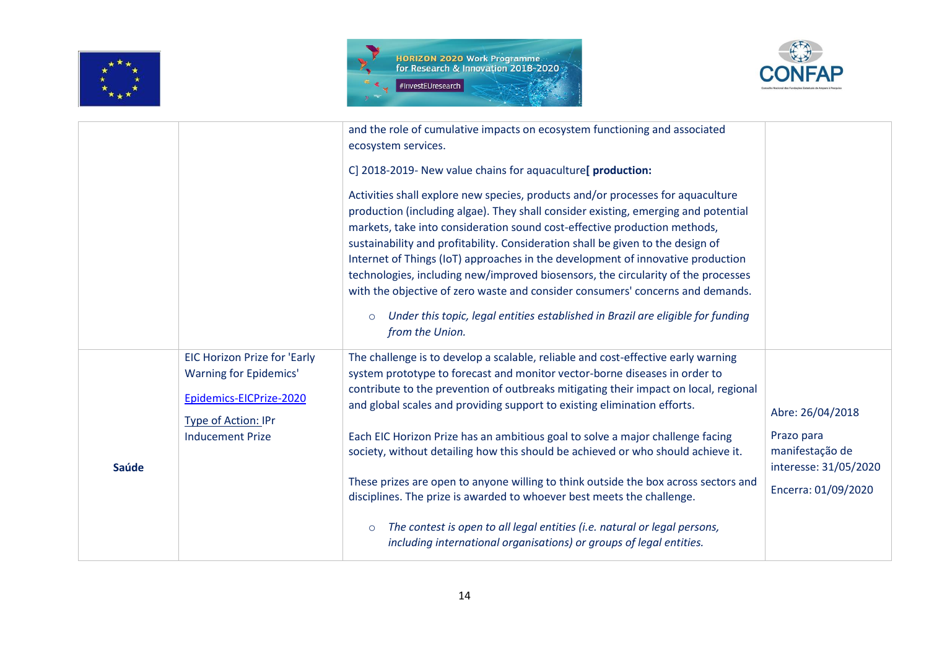





|              |                                     | and the role of cumulative impacts on ecosystem functioning and associated<br>ecosystem services.                                                                                                                                                                                                                                                                                                                                                                                                                                                                                                                                                                                                                |                                                        |
|--------------|-------------------------------------|------------------------------------------------------------------------------------------------------------------------------------------------------------------------------------------------------------------------------------------------------------------------------------------------------------------------------------------------------------------------------------------------------------------------------------------------------------------------------------------------------------------------------------------------------------------------------------------------------------------------------------------------------------------------------------------------------------------|--------------------------------------------------------|
|              |                                     | C] 2018-2019- New value chains for aquaculture[ production:                                                                                                                                                                                                                                                                                                                                                                                                                                                                                                                                                                                                                                                      |                                                        |
|              |                                     | Activities shall explore new species, products and/or processes for aquaculture<br>production (including algae). They shall consider existing, emerging and potential<br>markets, take into consideration sound cost-effective production methods,<br>sustainability and profitability. Consideration shall be given to the design of<br>Internet of Things (IoT) approaches in the development of innovative production<br>technologies, including new/improved biosensors, the circularity of the processes<br>with the objective of zero waste and consider consumers' concerns and demands.<br>Under this topic, legal entities established in Brazil are eligible for funding<br>$\circ$<br>from the Union. |                                                        |
|              | <b>EIC Horizon Prize for 'Early</b> | The challenge is to develop a scalable, reliable and cost-effective early warning                                                                                                                                                                                                                                                                                                                                                                                                                                                                                                                                                                                                                                |                                                        |
|              | <b>Warning for Epidemics'</b>       | system prototype to forecast and monitor vector-borne diseases in order to                                                                                                                                                                                                                                                                                                                                                                                                                                                                                                                                                                                                                                       |                                                        |
|              | Epidemics-EICPrize-2020             | contribute to the prevention of outbreaks mitigating their impact on local, regional<br>and global scales and providing support to existing elimination efforts.                                                                                                                                                                                                                                                                                                                                                                                                                                                                                                                                                 |                                                        |
|              | Type of Action: IPr                 |                                                                                                                                                                                                                                                                                                                                                                                                                                                                                                                                                                                                                                                                                                                  | Abre: 26/04/2018                                       |
| <b>Saúde</b> | <b>Inducement Prize</b>             | Each EIC Horizon Prize has an ambitious goal to solve a major challenge facing<br>society, without detailing how this should be achieved or who should achieve it.                                                                                                                                                                                                                                                                                                                                                                                                                                                                                                                                               | Prazo para<br>manifestação de<br>interesse: 31/05/2020 |
|              |                                     | These prizes are open to anyone willing to think outside the box across sectors and<br>disciplines. The prize is awarded to whoever best meets the challenge.                                                                                                                                                                                                                                                                                                                                                                                                                                                                                                                                                    | Encerra: 01/09/2020                                    |
|              |                                     | The contest is open to all legal entities (i.e. natural or legal persons,<br>$\circ$<br>including international organisations) or groups of legal entities.                                                                                                                                                                                                                                                                                                                                                                                                                                                                                                                                                      |                                                        |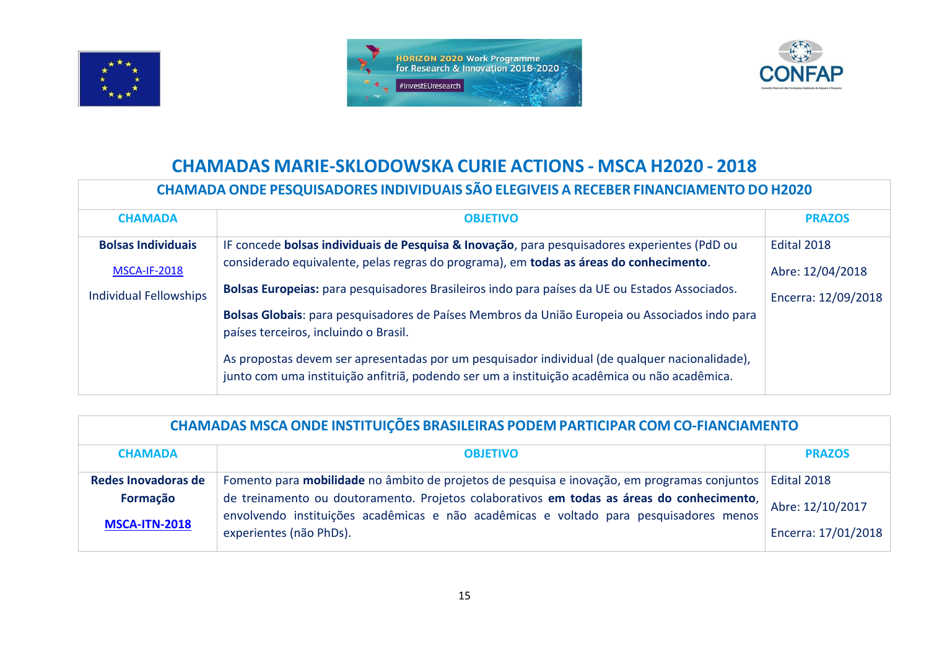





## **CHAMADAS MARIE-SKLODOWSKA CURIE ACTIONS - MSCA H2020 - 2018**

## **CHAMADA ONDE PESQUISADORES INDIVIDUAIS SÃO ELEGIVEIS A RECEBER FINANCIAMENTO DO H2020**

| <b>CHAMADA</b>                | <b>OBJETIVO</b>                                                                                                                                                                                | <b>PRAZOS</b>       |
|-------------------------------|------------------------------------------------------------------------------------------------------------------------------------------------------------------------------------------------|---------------------|
|                               |                                                                                                                                                                                                |                     |
| <b>Bolsas Individuais</b>     | IF concede bolsas individuais de Pesquisa & Inovação, para pesquisadores experientes (PdD ou                                                                                                   | Edital 2018         |
| <b>MSCA-IF-2018</b>           | considerado equivalente, pelas regras do programa), em todas as áreas do conhecimento.                                                                                                         | Abre: 12/04/2018    |
| <b>Individual Fellowships</b> | Bolsas Europeias: para pesquisadores Brasileiros indo para países da UE ou Estados Associados.                                                                                                 | Encerra: 12/09/2018 |
|                               | Bolsas Globais: para pesquisadores de Países Membros da União Europeia ou Associados indo para<br>países terceiros, incluindo o Brasil.                                                        |                     |
|                               | As propostas devem ser apresentadas por um pesquisador individual (de qualquer nacionalidade),<br>junto com uma instituição anfitriã, podendo ser um a instituição acadêmica ou não acadêmica. |                     |

| CHAMADAS MSCA ONDE INSTITUIÇÕES BRASILEIRAS PODEM PARTICIPAR COM CO-FIANCIAMENTO |                                                                                                                                                                                     |                     |
|----------------------------------------------------------------------------------|-------------------------------------------------------------------------------------------------------------------------------------------------------------------------------------|---------------------|
| <b>CHAMADA</b>                                                                   | <b>OBJETIVO</b>                                                                                                                                                                     | <b>PRAZOS</b>       |
| Redes Inovadoras de                                                              | Fomento para mobilidade no âmbito de projetos de pesquisa e inovação, em programas conjuntos                                                                                        | Edital 2018         |
| Formação<br><b>MSCA-ITN-2018</b>                                                 | de treinamento ou doutoramento. Projetos colaborativos em todas as áreas do conhecimento,<br>envolvendo instituições acadêmicas e não acadêmicas e voltado para pesquisadores menos | Abre: 12/10/2017    |
|                                                                                  | experientes (não PhDs).                                                                                                                                                             | Encerra: 17/01/2018 |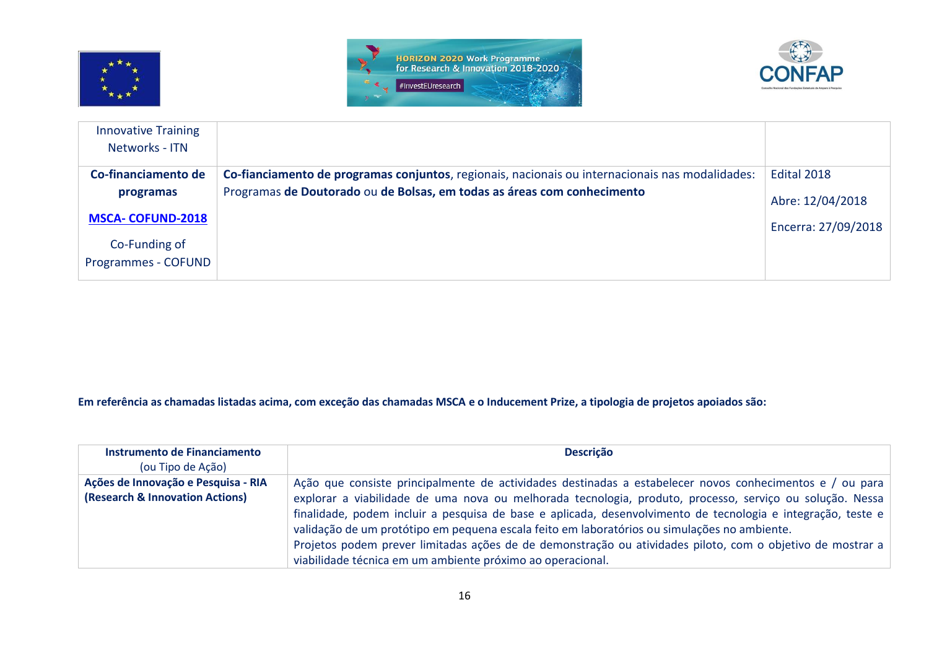





| <b>Innovative Training</b><br>Networks - ITN |                                                                                                 |                     |
|----------------------------------------------|-------------------------------------------------------------------------------------------------|---------------------|
| Co-financiamento de                          | Co-fianciamento de programas conjuntos, regionais, nacionais ou internacionais nas modalidades: | Edital 2018         |
| programas                                    | Programas de Doutorado ou de Bolsas, em todas as áreas com conhecimento                         | Abre: 12/04/2018    |
| <b>MSCA-COFUND-2018</b>                      |                                                                                                 | Encerra: 27/09/2018 |
| Co-Funding of<br>Programmes - COFUND         |                                                                                                 |                     |

**Em referência as chamadas listadas acima, com exceção das chamadas MSCA e o Inducement Prize, a tipologia de projetos apoiados são:** 

| Instrumento de Financiamento<br>(ou Tipo de Ação)                      | <b>Descrição</b>                                                                                                                                                                                                                                                                                                                                                                                                                                                                                                                                                                                                 |
|------------------------------------------------------------------------|------------------------------------------------------------------------------------------------------------------------------------------------------------------------------------------------------------------------------------------------------------------------------------------------------------------------------------------------------------------------------------------------------------------------------------------------------------------------------------------------------------------------------------------------------------------------------------------------------------------|
| Ações de Innovação e Pesquisa - RIA<br>(Research & Innovation Actions) | Ação que consiste principalmente de actividades destinadas a estabelecer novos conhecimentos e / ou para<br>explorar a viabilidade de uma nova ou melhorada tecnologia, produto, processo, serviço ou solução. Nessa<br>finalidade, podem incluir a pesquisa de base e aplicada, desenvolvimento de tecnologia e integração, teste e<br>validação de um protótipo em pequena escala feito em laboratórios ou simulações no ambiente.<br>Projetos podem prever limitadas ações de de demonstração ou atividades piloto, com o objetivo de mostrar a<br>viabilidade técnica em um ambiente próximo ao operacional. |